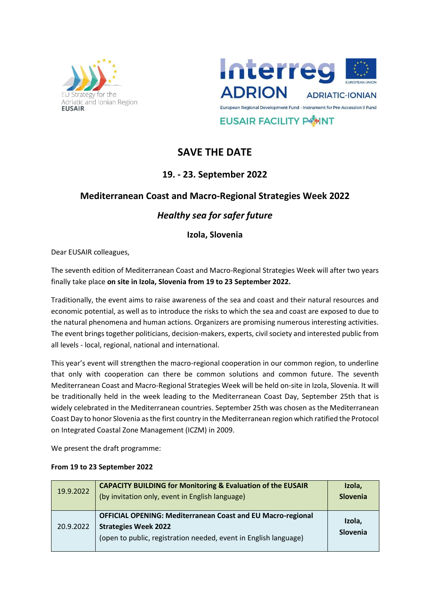



**EUSAIR FACILITY POINT** 

# **SAVE THE DATE**

## **19. - 23. September 2022**

#### **Mediterranean Coast and Macro-Regional Strategies Week 2022**

## *Healthy sea for safer future*

**Izola, Slovenia** 

Dear EUSAIR colleagues,

The seventh edition of Mediterranean Coast and Macro-Regional Strategies Week will after two years finally take place **on site in Izola, Slovenia from 19 to 23 September 2022.**

Traditionally, the event aims to raise awareness of the sea and coast and their natural resources and economic potential, as well as to introduce the risks to which the sea and coast are exposed to due to the natural phenomena and human actions. Organizers are promising numerous interesting activities. The event brings together politicians, decision-makers, experts, civil society and interested public from all levels - local, regional, national and international.

This year's event will strengthen the macro-regional cooperation in our common region, to underline that only with cooperation can there be common solutions and common future. The seventh Mediterranean Coast and Macro-Regional Strategies Week will be held on-site in Izola, Slovenia. It will be traditionally held in the week leading to the Mediterranean Coast Day, September 25th that is widely celebrated in the Mediterranean countries. September 25th was chosen as the Mediterranean Coast Day to honor Slovenia as the first country in the Mediterranean region which ratified the Protocol on Integrated Coastal Zone Management (ICZM) in 2009.

We present the draft programme:

#### **From 19 to 23 September 2022**

| 19.9.2022 | <b>CAPACITY BUILDING for Monitoring &amp; Evaluation of the EUSAIR</b><br>(by invitation only, event in English language)                                             | Izola,<br><b>Slovenia</b> |
|-----------|-----------------------------------------------------------------------------------------------------------------------------------------------------------------------|---------------------------|
| 20.9.2022 | <b>OFFICIAL OPENING: Mediterranean Coast and EU Macro-regional</b><br><b>Strategies Week 2022</b><br>(open to public, registration needed, event in English language) | Izola,<br>Slovenia        |